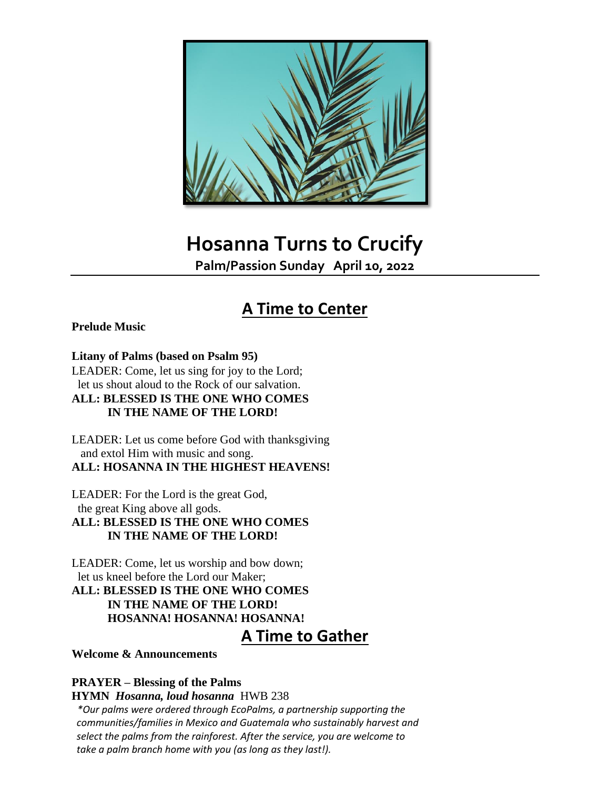

# **Hosanna Turns to Crucify**

**Palm/Passion Sunday April 10, 2022**

## **A Time to Center**

#### **Prelude Music**

#### **Litany of Palms (based on Psalm 95)**

LEADER: Come, let us sing for joy to the Lord; let us shout aloud to the Rock of our salvation. **ALL: BLESSED IS THE ONE WHO COMES IN THE NAME OF THE LORD!**

LEADER: Let us come before God with thanksgiving and extol Him with music and song. **ALL: HOSANNA IN THE HIGHEST HEAVENS!**

LEADER: For the Lord is the great God, the great King above all gods.

**ALL: BLESSED IS THE ONE WHO COMES IN THE NAME OF THE LORD!**

LEADER: Come, let us worship and bow down; let us kneel before the Lord our Maker;

**ALL: BLESSED IS THE ONE WHO COMES IN THE NAME OF THE LORD! HOSANNA! HOSANNA! HOSANNA!**

## **A Time to Gather**

**Welcome & Announcements**

#### **PRAYER – Blessing of the Palms**

**HYMN** *Hosanna, loud hosanna* HWB 238

 *\*Our palms were ordered through EcoPalms, a partnership supporting the communities/families in Mexico and Guatemala who sustainably harvest and select the palms from the rainforest. After the service, you are welcome to take a palm branch home with you (as long as they last!).*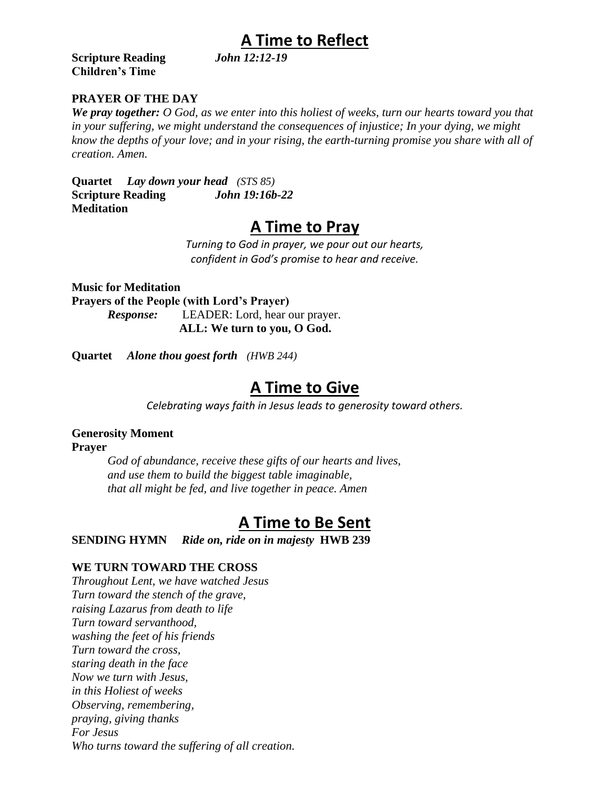# **A Time to Reflect**

**Scripture Reading Children's Time**

### **PRAYER OF THE DAY**

*We pray together: O God, as we enter into this holiest of weeks, turn our hearts toward you that in your suffering, we might understand the consequences of injustice; In your dying, we might know the depths of your love; and in your rising, the earth-turning promise you share with all of creation. Amen.*

**Quartet** *Lay down your head (STS 85)* **Scripture Reading** *John 19:16b-22* **Meditation**

## **A Time to Pray**

*Turning to God in prayer, we pour out our hearts, confident in God's promise to hear and receive.*

**Music for Meditation Prayers of the People (with Lord's Prayer)** *Response:* LEADER: Lord, hear our prayer. **ALL: We turn to you, O God.**

**Quartet** *Alone thou goest forth (HWB 244)*

## **A Time to Give**

*Celebrating ways faith in Jesus leads to generosity toward others.*

#### **Generosity Moment**

**Prayer**

*God of abundance, receive these gifts of our hearts and lives, and use them to build the biggest table imaginable, that all might be fed, and live together in peace. Amen*

## **A Time to Be Sent**

**SENDING HYMN** *Ride on, ride on in majesty* **HWB 239**

#### **WE TURN TOWARD THE CROSS**

*Throughout Lent, we have watched Jesus Turn toward the stench of the grave, raising Lazarus from death to life Turn toward servanthood, washing the feet of his friends Turn toward the cross, staring death in the face Now we turn with Jesus, in this Holiest of weeks Observing, remembering, praying, giving thanks For Jesus Who turns toward the suffering of all creation.*